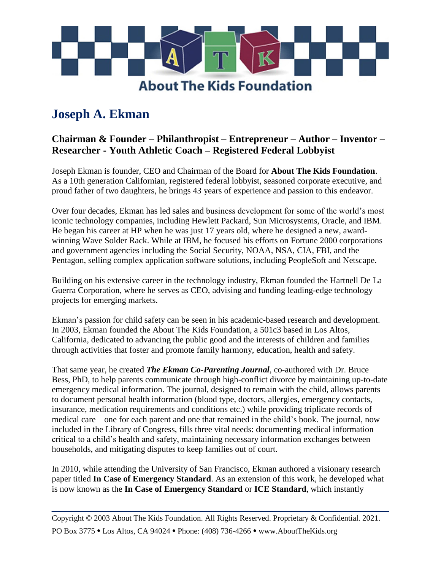

## **Joseph A. Ekman**

## **Chairman & Founder – Philanthropist – Entrepreneur – Author – Inventor – Researcher - Youth Athletic Coach – Registered Federal Lobbyist**

Joseph Ekman is founder, CEO and Chairman of the Board for **About The Kids Foundation**. As a 10th generation Californian, registered federal lobbyist, seasoned corporate executive, and proud father of two daughters, he brings 43 years of experience and passion to this endeavor.

Over four decades, Ekman has led sales and business development for some of the world's most iconic technology companies, including Hewlett Packard, Sun Microsystems, Oracle, and IBM. He began his career at HP when he was just 17 years old, where he designed a new, awardwinning Wave Solder Rack. While at IBM, he focused his efforts on Fortune 2000 corporations and government agencies including the Social Security, NOAA, NSA, CIA, FBI, and the Pentagon, selling complex application software solutions, including PeopleSoft and Netscape.

Building on his extensive career in the technology industry, Ekman founded the Hartnell De La Guerra Corporation, where he serves as CEO, advising and funding leading-edge technology projects for emerging markets.

Ekman's passion for child safety can be seen in his academic-based research and development. In 2003, Ekman founded the About The Kids Foundation, a 501c3 based in Los Altos, California, dedicated to advancing the public good and the interests of children and families through activities that foster and promote family harmony, education, health and safety.

That same year, he created *The Ekman Co-Parenting Journal*, co-authored with Dr. Bruce Bess, PhD, to help parents communicate through high-conflict divorce by maintaining up-to-date emergency medical information. The journal, designed to remain with the child, allows parents to document personal health information (blood type, doctors, allergies, emergency contacts, insurance, medication requirements and conditions etc.) while providing triplicate records of medical care – one for each parent and one that remained in the child's book. The journal, now included in the Library of Congress, fills three vital needs: documenting medical information critical to a child's health and safety, maintaining necessary information exchanges between households, and mitigating disputes to keep families out of court.

In 2010, while attending the University of San Francisco, Ekman authored a visionary research paper titled **In Case of Emergency Standard**. As an extension of this work, he developed what is now known as the **In Case of Emergency Standard** or **ICE Standard**, which instantly

**\_\_\_\_\_\_\_\_\_\_\_\_\_\_\_\_\_\_\_\_\_\_\_\_\_\_\_\_\_\_\_\_\_\_\_\_\_\_\_**

Copyright © 2003 About The Kids Foundation. All Rights Reserved. Proprietary & Confidential. 2021. PO Box 3775 • Los Altos, CA 94024 • Phone: (408) 736-4266 • www.AboutTheKids.org